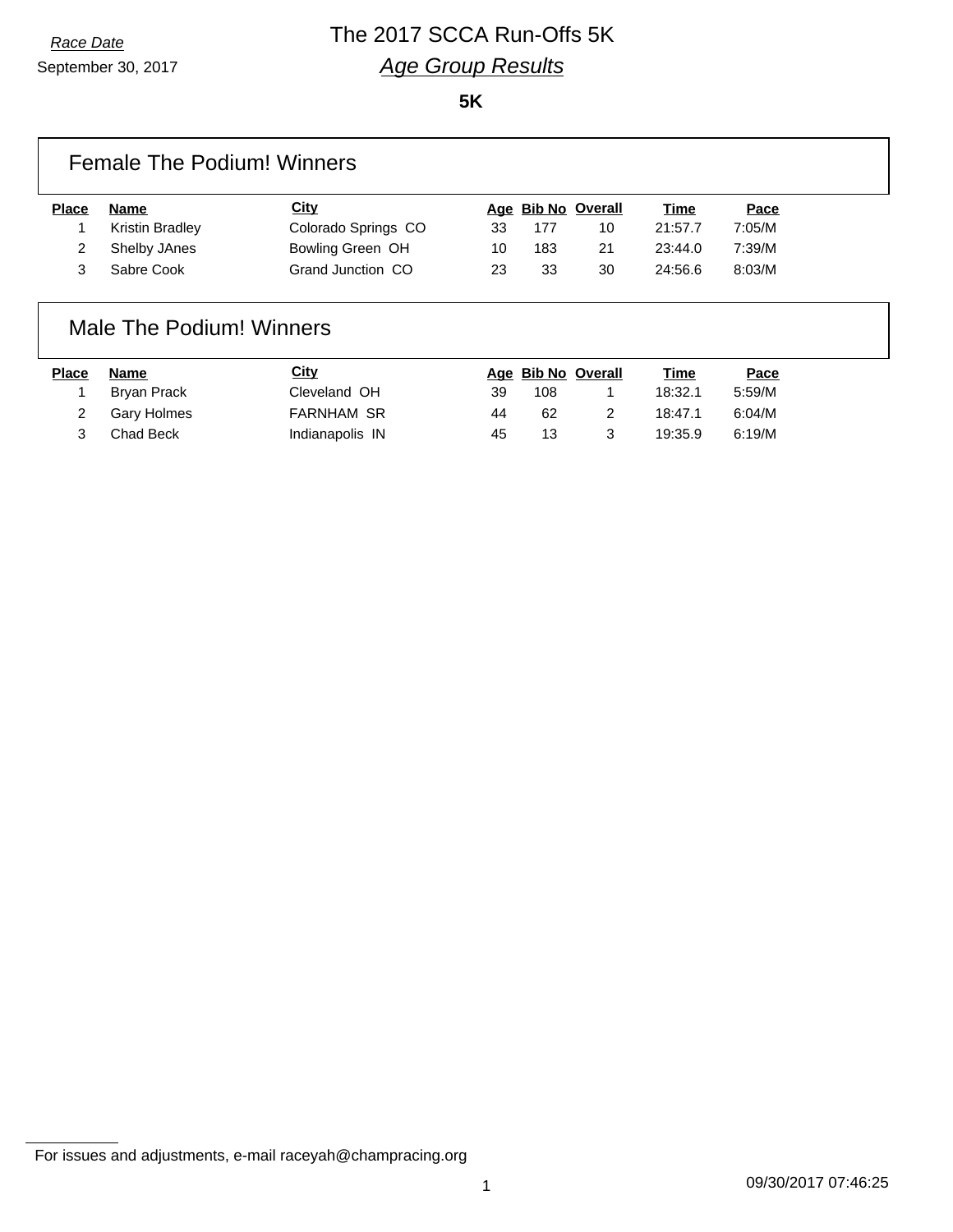# *Race Date* The 2017 SCCA Run-Offs 5K *Age Group Results*

**5K**

| <b>Female The Podium! Winners</b> |  |
|-----------------------------------|--|
|                                   |  |

| <b>Name</b>     | City                |    |     |    | Time               | Pace   |
|-----------------|---------------------|----|-----|----|--------------------|--------|
| Kristin Bradley | Colorado Springs CO | 33 | 177 | 10 | 21:57.7            | 7:05/M |
| Shelby JAnes    | Bowling Green OH    | 10 | 183 | 21 | 23:44.0            | 7:39/M |
| Sabre Cook      | Grand Junction CO   | 23 | 33  | 30 | 24:56.6            | 8:03/M |
|                 |                     |    |     |    | Age Bib No Overall |        |

### Male The Podium! Winners

| Place | Name        | <u>City</u>       |    | Age Bib No Overall | <u>Time</u> | <u>Pace</u> |
|-------|-------------|-------------------|----|--------------------|-------------|-------------|
|       | Bryan Prack | Cleveland OH      | 39 | 108                | 18:32.1     | 5:59/M      |
|       | Gary Holmes | <b>FARNHAM SR</b> | 44 | 62                 | 18:47.1     | 6:04/M      |
|       | Chad Beck   | Indianapolis IN   | 45 | 13                 | 19:35.9     | 6:19/M      |

For issues and adjustments, e-mail raceyah@champracing.org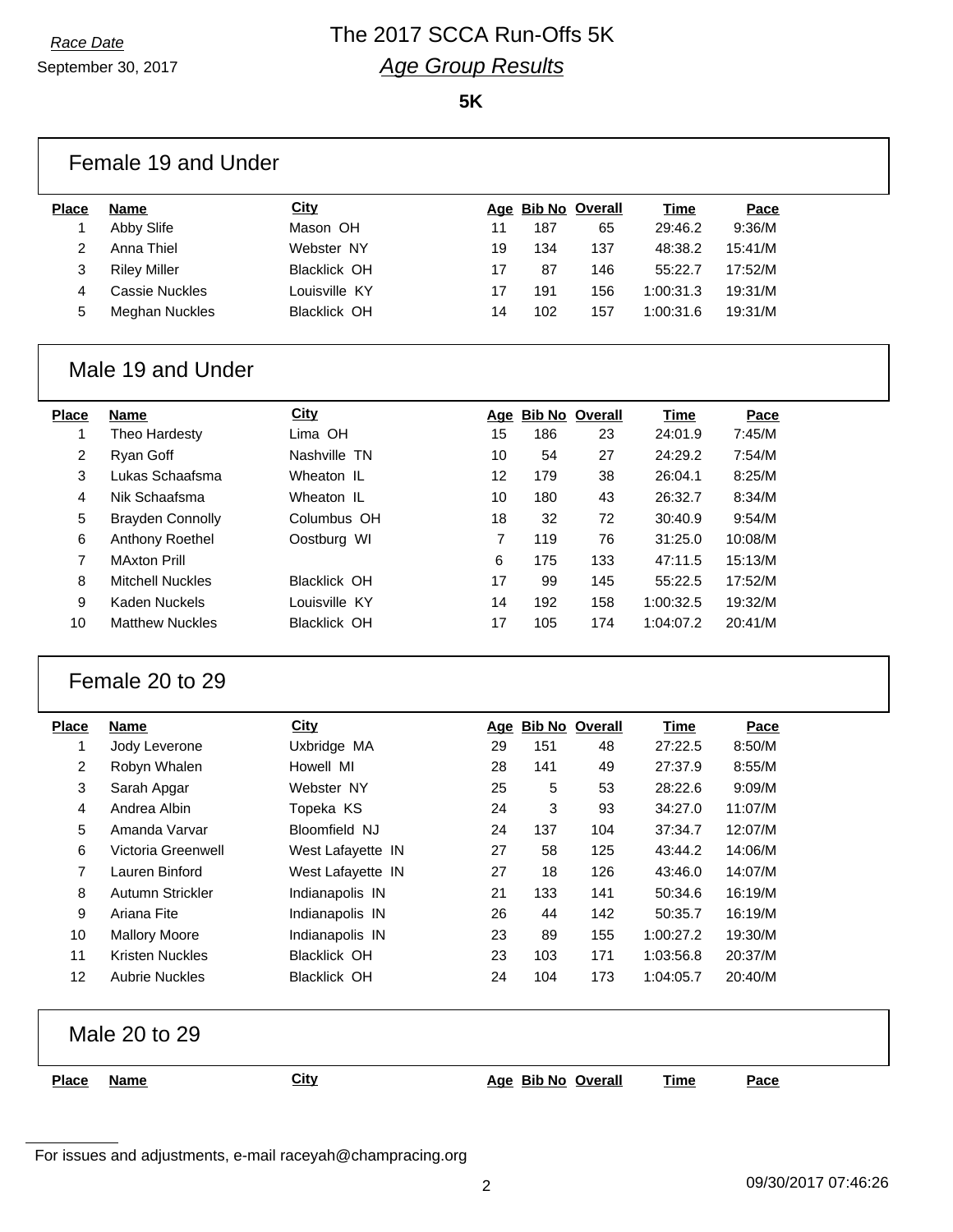September 30, 2017

# *Race Date* The 2017 SCCA Run-Offs 5K *Age Group Results*

**5K**

|                | Female 19 and Under                             |                                      |                |            |                    |                        |                    |
|----------------|-------------------------------------------------|--------------------------------------|----------------|------------|--------------------|------------------------|--------------------|
| <b>Place</b>   | <b>Name</b>                                     | City                                 |                |            | Age Bib No Overall | <b>Time</b>            | Pace               |
| 1              | Abby Slife                                      | Mason OH                             | 11             | 187        | 65                 | 29:46.2                | 9:36/M             |
| 2              | Anna Thiel                                      | Webster NY                           | 19             | 134        | 137                | 48:38.2                | 15:41/M            |
| 3              | <b>Riley Miller</b>                             | <b>Blacklick OH</b>                  | 17             | 87         | 146                | 55:22.7                | 17:52/M            |
| 4              | <b>Cassie Nuckles</b>                           | Louisville KY                        | 17             | 191        | 156                | 1:00:31.3              | 19:31/M            |
| 5              | <b>Meghan Nuckles</b>                           | <b>Blacklick OH</b>                  | 14             | 102        | 157                | 1:00:31.6              | 19:31/M            |
|                | Male 19 and Under                               |                                      |                |            |                    |                        |                    |
| <b>Place</b>   | <b>Name</b>                                     | <b>City</b>                          |                |            | Age Bib No Overall | <b>Time</b>            | Pace               |
| 1              | Theo Hardesty                                   | Lima OH                              | 15             | 186        | 23                 | 24:01.9                | 7:45/M             |
| $\overline{c}$ | Ryan Goff                                       | Nashville TN                         | 10             | 54         | 27                 | 24:29.2                | 7:54/M             |
| 3              | Lukas Schaafsma                                 | Wheaton IL                           | 12             | 179        | 38                 | 26:04.1                | 8:25/M             |
| 4              | Nik Schaafsma                                   | Wheaton IL                           | 10             | 180        | 43                 | 26:32.7                | 8:34/M             |
| 5              | <b>Brayden Connolly</b>                         | Columbus OH                          | 18             | 32         | 72                 | 30:40.9                | 9:54/M             |
| 6              | Anthony Roethel                                 | Oostburg WI                          | $\overline{7}$ | 119        | 76                 | 31:25.0                | 10:08/M            |
| $\overline{7}$ | <b>MAxton Prill</b>                             |                                      | 6              | 175        | 133                | 47:11.5                | 15:13/M            |
| 8              | <b>Mitchell Nuckles</b><br><b>Kaden Nuckels</b> | <b>Blacklick OH</b><br>Louisville KY | 17             | 99         | 145                | 55:22.5                | 17:52/M            |
| 9<br>10        | <b>Matthew Nuckles</b>                          | <b>Blacklick OH</b>                  | 14<br>17       | 192<br>105 | 158<br>174         | 1:00:32.5<br>1:04:07.2 | 19:32/M<br>20:41/M |
|                | Female 20 to 29                                 |                                      |                |            |                    |                        |                    |
| <b>Place</b>   | <b>Name</b>                                     | City                                 |                |            | Age Bib No Overall | <b>Time</b>            | Pace               |
| 1              | Jody Leverone                                   | Uxbridge MA                          | 29             | 151        | 48                 | 27:22.5                | 8:50/M             |
| 2              | Robyn Whalen                                    | Howell MI                            | 28             | 141        | 49                 | 27:37.9                | 8:55/M             |
| 3              | Sarah Apgar                                     | Webster NY                           | 25             | 5          | 53                 | 28:22.6                | 9:09/M             |
| 4              | Andrea Albin                                    | Topeka KS                            | 24             | 3          | 93                 | 34:27.0                | 11:07/M            |
| 5              | Amanda Varvar                                   | Bloomfield NJ                        | 24             | 137        | 104                | 37:34.7                | 12:07/M            |
| 6              | Victoria Greenwell                              | West Lafayette IN                    | 27             | 58         | 125                | 43:44.2                | 14:06/M            |
| 7              | Lauren Binford                                  | West Lafayette IN                    | 27             | 18         | 126                | 43:46.0                | 14:07/M            |
| 8              | Autumn Strickler                                | Indianapolis IN                      | 21             | 133        | 141                | 50:34.6                | 16:19/M            |
| 9              | Ariana Fite                                     | Indianapolis IN                      | 26             | 44         | 142                | 50:35.7                | 16:19/M            |
| 10             | <b>Mallory Moore</b>                            | Indianapolis IN                      | 23             | 89         | 155                | 1:00:27.2              | 19:30/M            |
| 11             | <b>Kristen Nuckles</b>                          | <b>Blacklick OH</b>                  | 23             | 103        | 171                | 1:03:56.8              | 20:37/M            |
| 12             | <b>Aubrie Nuckles</b>                           | <b>Blacklick OH</b>                  | 24             | 104        | 173                | 1:04:05.7              | 20:40/M            |
|                | Male 20 to 29                                   |                                      |                |            |                    |                        |                    |
| <b>Place</b>   | <b>Name</b>                                     | <b>City</b>                          |                |            | Age Bib No Overall | <u>Time</u>            | Pace               |
|                |                                                 |                                      |                |            |                    |                        |                    |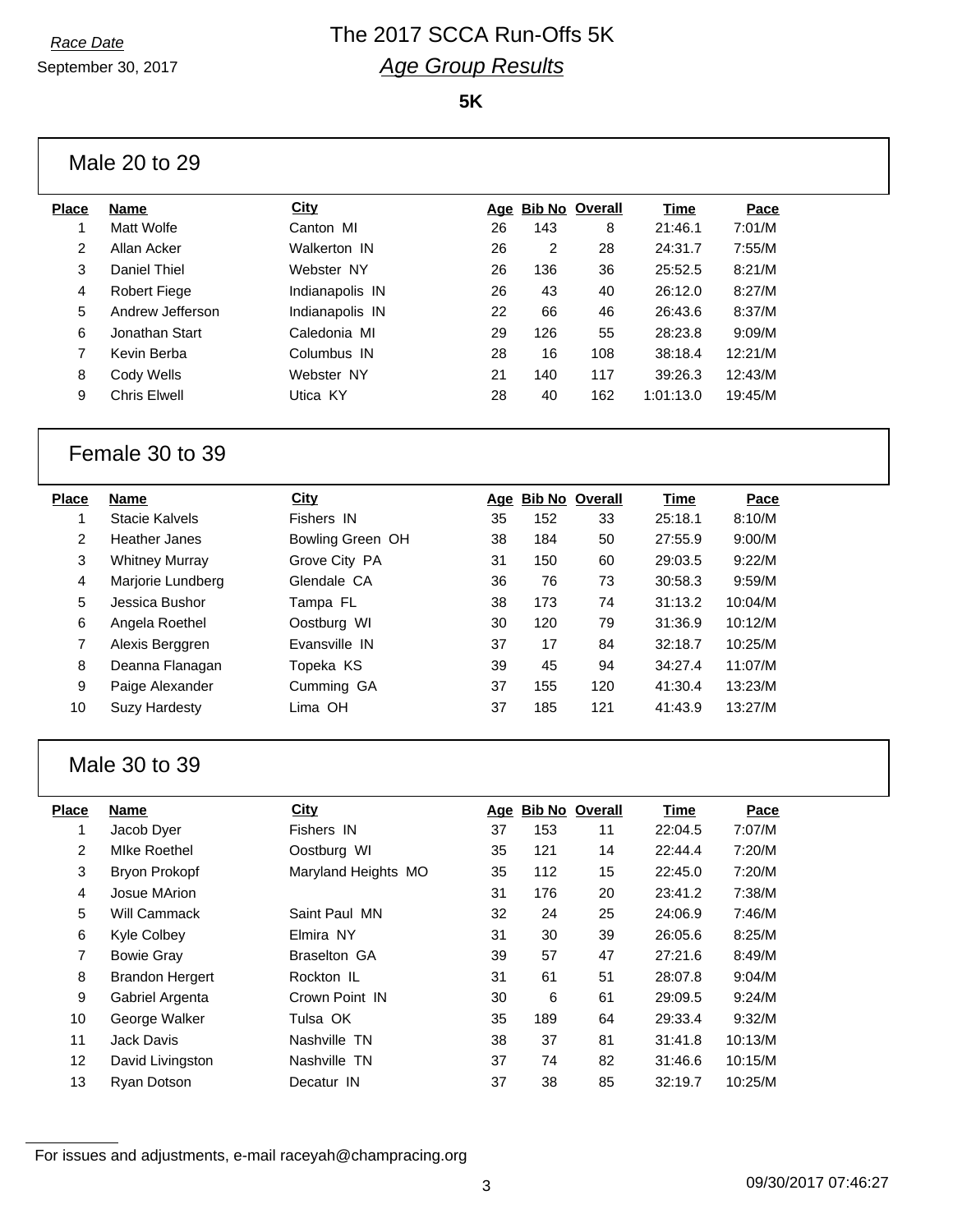# *Race Date* The 2017 SCCA Run-Offs 5K *Age Group Results*

**5K**

### Male 20 to 29

| Place | Name                | City            |    |     | Age Bib No Overall | Time      | Pace    |
|-------|---------------------|-----------------|----|-----|--------------------|-----------|---------|
|       | Matt Wolfe          | Canton MI       | 26 | 143 | 8                  | 21:46.1   | 7:01/M  |
| 2     | Allan Acker         | Walkerton IN    | 26 | 2   | 28                 | 24:31.7   | 7:55/M  |
| 3     | Daniel Thiel        | Webster NY      | 26 | 136 | 36                 | 25:52.5   | 8:21/M  |
| 4     | <b>Robert Fiege</b> | Indianapolis IN | 26 | 43  | 40                 | 26:12.0   | 8:27/M  |
| 5     | Andrew Jefferson    | Indianapolis IN | 22 | 66  | 46                 | 26:43.6   | 8:37/M  |
| 6     | Jonathan Start      | Caledonia MI    | 29 | 126 | 55                 | 28:23.8   | 9:09/M  |
| 7     | Kevin Berba         | Columbus IN     | 28 | 16  | 108                | 38:18.4   | 12:21/M |
| 8     | Cody Wells          | Webster NY      | 21 | 140 | 117                | 39:26.3   | 12:43/M |
| 9     | <b>Chris Elwell</b> | Utica KY        | 28 | 40  | 162                | 1:01:13.0 | 19:45/M |
|       |                     |                 |    |     |                    |           |         |

#### Female 30 to 39

| <b>Place</b>   | <b>Name</b>           | City             |    | Age Bib No Overall |     | Time    | Pace    |
|----------------|-----------------------|------------------|----|--------------------|-----|---------|---------|
|                | Stacie Kalvels        | Fishers IN       | 35 | 152                | 33  | 25:18.1 | 8:10/M  |
| $\overline{2}$ | Heather Janes         | Bowling Green OH | 38 | 184                | 50  | 27:55.9 | 9:00/M  |
| 3              | <b>Whitney Murray</b> | Grove City PA    | 31 | 150                | 60  | 29:03.5 | 9:22/M  |
| 4              | Marjorie Lundberg     | Glendale CA      | 36 | 76                 | 73  | 30:58.3 | 9:59/M  |
| 5              | Jessica Bushor        | Tampa FL         | 38 | 173                | 74  | 31:13.2 | 10:04/M |
| 6              | Angela Roethel        | Oostburg WI      | 30 | 120                | 79  | 31:36.9 | 10:12/M |
| 7              | Alexis Berggren       | Evansville IN    | 37 | 17                 | 84  | 32:18.7 | 10:25/M |
| 8              | Deanna Flanagan       | Topeka KS        | 39 | 45                 | 94  | 34:27.4 | 11:07/M |
| 9              | Paige Alexander       | Cumming GA       | 37 | 155                | 120 | 41:30.4 | 13:23/M |
| 10             | <b>Suzy Hardesty</b>  | Lima OH          | 37 | 185                | 121 | 41:43.9 | 13:27/M |

### Male 30 to 39

| Name                   | City                |    |     |    | Time               | Pace    |
|------------------------|---------------------|----|-----|----|--------------------|---------|
| Jacob Dyer             | Fishers IN          | 37 | 153 | 11 | 22:04.5            | 7:07/M  |
| <b>MIke Roethel</b>    | Oostburg WI         | 35 | 121 | 14 | 22:44.4            | 7:20/M  |
| Bryon Prokopf          | Maryland Heights MO | 35 | 112 | 15 | 22:45.0            | 7:20/M  |
| Josue MArion           |                     | 31 | 176 | 20 | 23:41.2            | 7:38/M  |
| Will Cammack           | Saint Paul MN       | 32 | 24  | 25 | 24:06.9            | 7:46/M  |
| Kyle Colbey            | Elmira NY           | 31 | 30  | 39 | 26:05.6            | 8:25/M  |
| <b>Bowie Gray</b>      | <b>Braselton GA</b> | 39 | 57  | 47 | 27:21.6            | 8:49/M  |
| <b>Brandon Hergert</b> | Rockton IL          | 31 | 61  | 51 | 28:07.8            | 9:04/M  |
| Gabriel Argenta        | Crown Point IN      | 30 | 6   | 61 | 29:09.5            | 9:24/M  |
| George Walker          | Tulsa OK            | 35 | 189 | 64 | 29:33.4            | 9:32/M  |
| Jack Davis             | Nashville TN        | 38 | 37  | 81 | 31:41.8            | 10:13/M |
| David Livingston       | Nashville TN        | 37 | 74  | 82 | 31:46.6            | 10:15/M |
| <b>Ryan Dotson</b>     | Decatur IN          | 37 | 38  | 85 | 32:19.7            | 10:25/M |
|                        |                     |    |     |    | Age Bib No Overall |         |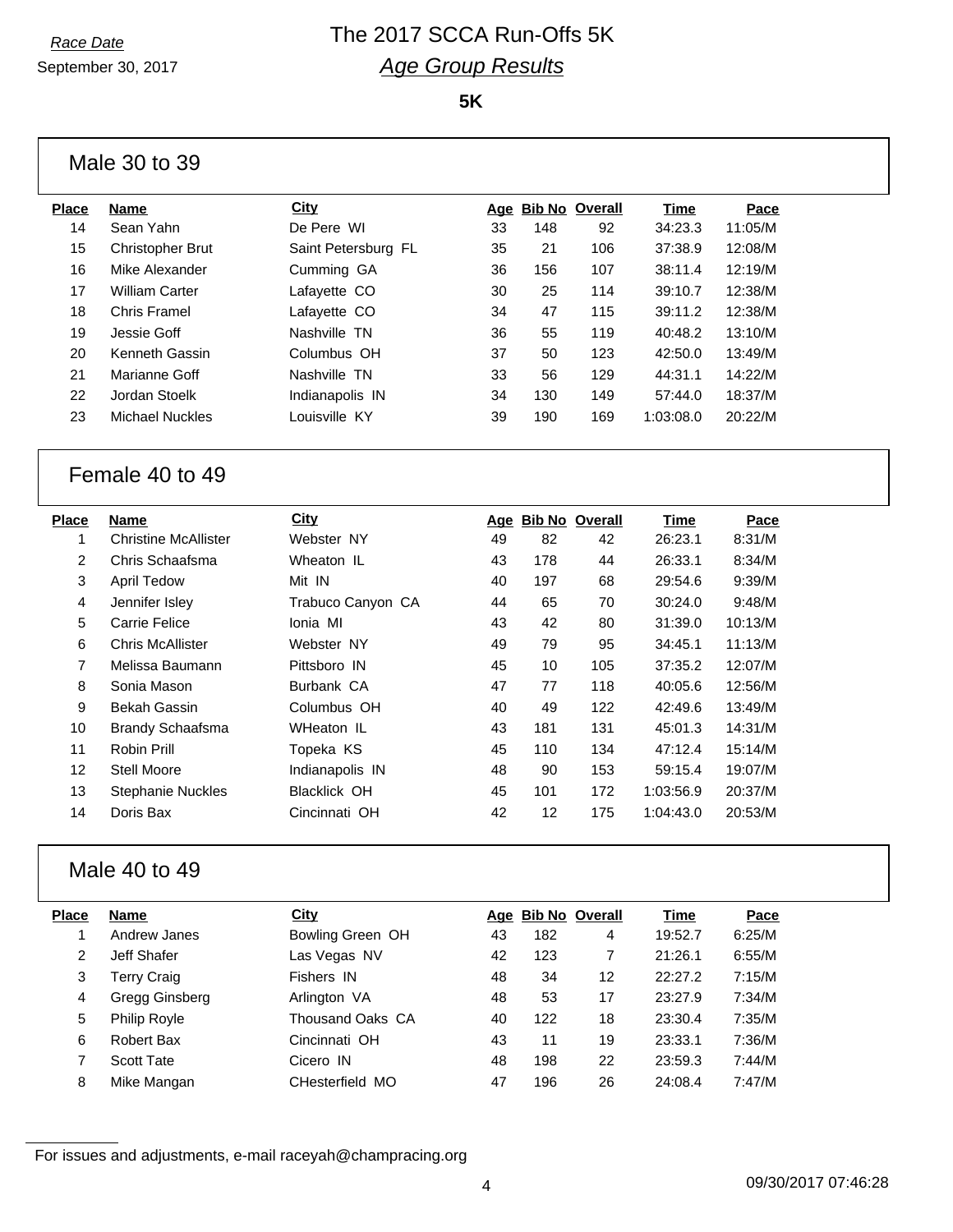# *Race Date* The 2017 SCCA Run-Offs 5K *Age Group Results*

**5K**

#### Male 30 to 39

| Place | <b>Name</b>            | City                |    |     | Age Bib No Overall | <b>Time</b> | Pace    |
|-------|------------------------|---------------------|----|-----|--------------------|-------------|---------|
| 14    | Sean Yahn              | De Pere WI          | 33 | 148 | 92                 | 34:23.3     | 11:05/M |
| 15    | Christopher Brut       | Saint Petersburg FL | 35 | 21  | 106                | 37:38.9     | 12:08/M |
| 16    | Mike Alexander         | Cumming GA          | 36 | 156 | 107                | 38:11.4     | 12:19/M |
| 17    | <b>William Carter</b>  | Lafayette CO        | 30 | 25  | 114                | 39:10.7     | 12:38/M |
| 18    | Chris Framel           | Lafayette CO        | 34 | 47  | 115                | 39:11.2     | 12:38/M |
| 19    | Jessie Goff            | Nashville TN        | 36 | 55  | 119                | 40:48.2     | 13:10/M |
| 20    | Kenneth Gassin         | Columbus OH         | 37 | 50  | 123                | 42:50.0     | 13:49/M |
| 21    | Marianne Goff          | Nashville TN        | 33 | 56  | 129                | 44:31.1     | 14:22/M |
| 22    | Jordan Stoelk          | Indianapolis IN     | 34 | 130 | 149                | 57:44.0     | 18:37/M |
| 23    | <b>Michael Nuckles</b> | Louisville KY       | 39 | 190 | 169                | 1:03:08.0   | 20:22/M |
|       |                        |                     |    |     |                    |             |         |

## Female 40 to 49

| Place | Name                        | City                | Age | <b>Bib No Overall</b> |     | Time      | Pace    |
|-------|-----------------------------|---------------------|-----|-----------------------|-----|-----------|---------|
|       | <b>Christine McAllister</b> | Webster NY          | 49  | 82                    | 42  | 26:23.1   | 8:31/M  |
| 2     | Chris Schaafsma             | Wheaton IL          | 43  | 178                   | 44  | 26:33.1   | 8:34/M  |
| 3     | April Tedow                 | Mit IN              | 40  | 197                   | 68  | 29:54.6   | 9:39/M  |
| 4     | Jennifer Isley              | Trabuco Canyon CA   | 44  | 65                    | 70  | 30:24.0   | 9:48/M  |
| 5     | Carrie Felice               | Ionia MI            | 43  | 42                    | 80  | 31:39.0   | 10:13/M |
| 6     | <b>Chris McAllister</b>     | Webster NY          | 49  | 79                    | 95  | 34:45.1   | 11:13/M |
| 7     | Melissa Baumann             | Pittsboro IN        | 45  | 10                    | 105 | 37:35.2   | 12:07/M |
| 8     | Sonia Mason                 | Burbank CA          | 47  | 77                    | 118 | 40:05.6   | 12:56/M |
| 9     | Bekah Gassin                | Columbus OH         | 40  | 49                    | 122 | 42:49.6   | 13:49/M |
| 10    | <b>Brandy Schaafsma</b>     | WHeaton IL          | 43  | 181                   | 131 | 45:01.3   | 14:31/M |
| 11    | Robin Prill                 | Topeka KS           | 45  | 110                   | 134 | 47:12.4   | 15:14/M |
| 12    | Stell Moore                 | Indianapolis IN     | 48  | 90                    | 153 | 59:15.4   | 19:07/M |
| 13    | <b>Stephanie Nuckles</b>    | <b>Blacklick OH</b> | 45  | 101                   | 172 | 1:03:56.9 | 20:37/M |
| 14    | Doris Bax                   | Cincinnati OH       | 42  | 12                    | 175 | 1:04:43.0 | 20:53/M |
|       |                             |                     |     |                       |     |           |         |

## Male 40 to 49

| Place | Name                | City              |    | Age Bib No Overall |    | Time    | Pace   |
|-------|---------------------|-------------------|----|--------------------|----|---------|--------|
|       | Andrew Janes        | Bowling Green OH  | 43 | 182                | 4  | 19:52.7 | 6:25/M |
| 2     | Jeff Shafer         | Las Vegas NV      | 42 | 123                | 7  | 21:26.1 | 6:55/M |
| 3     | <b>Terry Craig</b>  | Fishers IN        | 48 | 34                 | 12 | 22:27.2 | 7:15/M |
| 4     | Gregg Ginsberg      | Arlington VA      | 48 | 53                 | 17 | 23:27.9 | 7:34/M |
| 5     | <b>Philip Royle</b> | Thousand Oaks, CA | 40 | 122                | 18 | 23:30.4 | 7:35/M |
| 6     | Robert Bax          | Cincinnati OH     | 43 | 11                 | 19 | 23:33.1 | 7:36/M |
|       | <b>Scott Tate</b>   | Cicero IN         | 48 | 198                | 22 | 23:59.3 | 7:44/M |
| 8     | Mike Mangan         | CHesterfield MO   | 47 | 196                | 26 | 24:08.4 | 7:47/M |
|       |                     |                   |    |                    |    |         |        |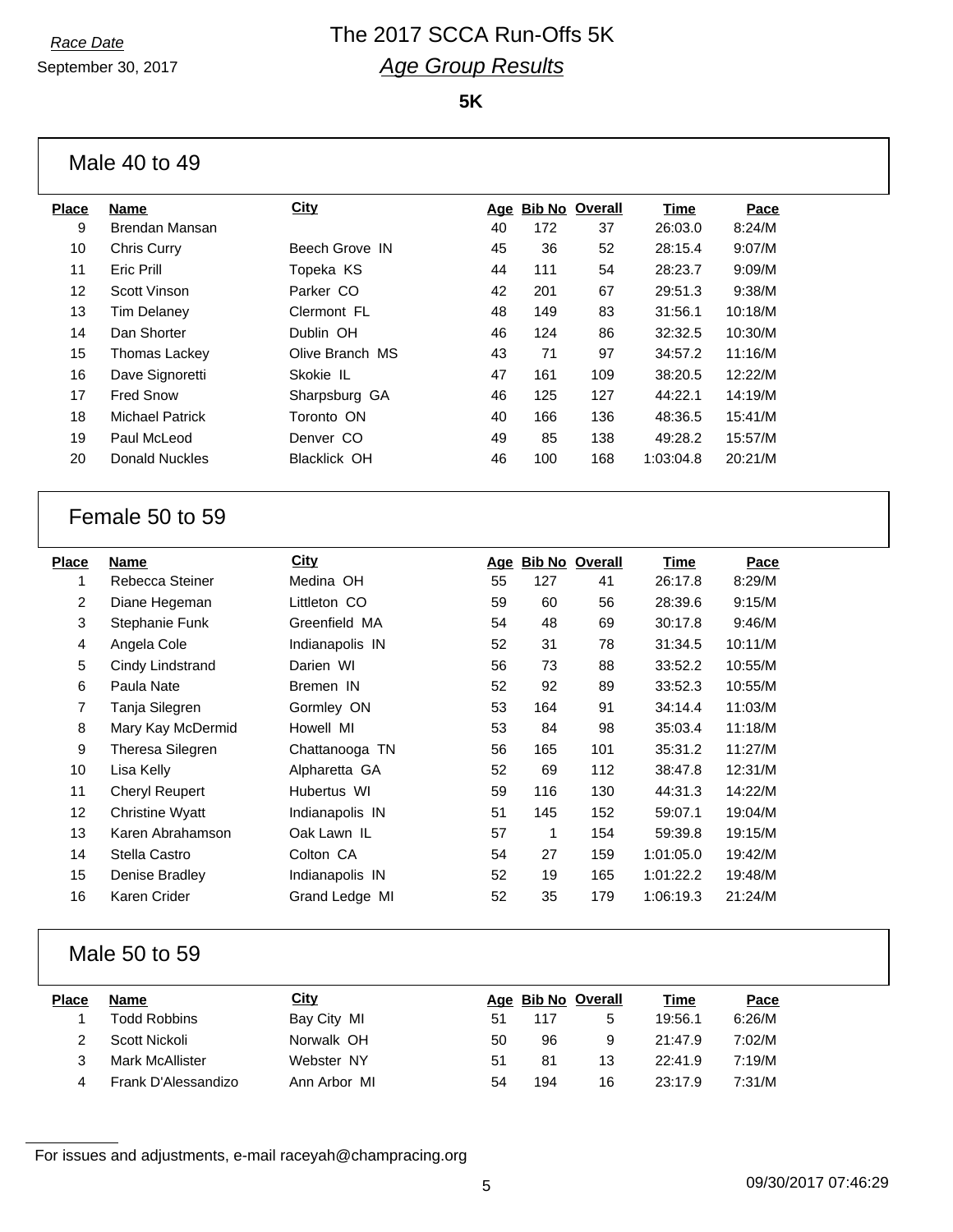September 30, 2017

# *Race Date* The 2017 SCCA Run-Offs 5K *Age Group Results*

**5K**

| Male 40 to 49 |  |
|---------------|--|
|---------------|--|

| Place | <b>Name</b>            | City                | Age | <b>Bib No Overall</b> |     | Time      | Pace    |
|-------|------------------------|---------------------|-----|-----------------------|-----|-----------|---------|
| 9     | Brendan Mansan         |                     | 40  | 172                   | 37  | 26:03.0   | 8:24/M  |
| 10    | Chris Curry            | Beech Grove IN      | 45  | 36                    | 52  | 28:15.4   | 9:07/M  |
| 11    | Eric Prill             | Topeka KS           | 44  | 111                   | 54  | 28:23.7   | 9:09/M  |
| 12    | Scott Vinson           | Parker CO           | 42  | 201                   | 67  | 29:51.3   | 9:38/M  |
| 13    | Tim Delaney            | Clermont FL         | 48  | 149                   | 83  | 31:56.1   | 10:18/M |
| 14    | Dan Shorter            | Dublin OH           | 46  | 124                   | 86  | 32:32.5   | 10:30/M |
| 15    | Thomas Lackey          | Olive Branch MS     | 43  | 71                    | 97  | 34:57.2   | 11:16/M |
| 16    | Dave Signoretti        | Skokie IL           | 47  | 161                   | 109 | 38:20.5   | 12:22/M |
| 17    | <b>Fred Snow</b>       | Sharpsburg GA       | 46  | 125                   | 127 | 44:22.1   | 14:19/M |
| 18    | <b>Michael Patrick</b> | Toronto ON          | 40  | 166                   | 136 | 48:36.5   | 15:41/M |
| 19    | Paul McLeod            | Denver CO           | 49  | 85                    | 138 | 49:28.2   | 15:57/M |
| 20    | Donald Nuckles         | <b>Blacklick OH</b> | 46  | 100                   | 168 | 1:03:04.8 | 20:21/M |
|       |                        |                     |     |                       |     |           |         |

### Female 50 to 59

| Place          | Name                   | <b>City</b>     | Age | <b>Bib No Overall</b> |     | Time      | Pace    |
|----------------|------------------------|-----------------|-----|-----------------------|-----|-----------|---------|
| 1              | Rebecca Steiner        | Medina OH       | 55  | 127                   | 41  | 26:17.8   | 8:29/M  |
| $\overline{2}$ | Diane Hegeman          | Littleton CO    | 59  | 60                    | 56  | 28:39.6   | 9:15/M  |
| 3              | Stephanie Funk         | Greenfield MA   | 54  | 48                    | 69  | 30:17.8   | 9:46/M  |
| 4              | Angela Cole            | Indianapolis IN | 52  | 31                    | 78  | 31:34.5   | 10:11/M |
| 5              | Cindy Lindstrand       | Darien WI       | 56  | 73                    | 88  | 33:52.2   | 10:55/M |
| 6              | Paula Nate             | Bremen IN       | 52  | 92                    | 89  | 33:52.3   | 10:55/M |
| 7              | Tanja Silegren         | Gormley ON      | 53  | 164                   | 91  | 34:14.4   | 11:03/M |
| 8              | Mary Kay McDermid      | Howell MI       | 53  | 84                    | 98  | 35:03.4   | 11:18/M |
| 9              | Theresa Silegren       | Chattanooga TN  | 56  | 165                   | 101 | 35:31.2   | 11:27/M |
| 10             | Lisa Kelly             | Alpharetta GA   | 52  | 69                    | 112 | 38:47.8   | 12:31/M |
| 11             | Cheryl Reupert         | Hubertus WI     | 59  | 116                   | 130 | 44:31.3   | 14:22/M |
| 12             | <b>Christine Wyatt</b> | Indianapolis IN | 51  | 145                   | 152 | 59:07.1   | 19:04/M |
| 13             | Karen Abrahamson       | Oak Lawn IL     | 57  | 1                     | 154 | 59:39.8   | 19:15/M |
| 14             | Stella Castro          | Colton CA       | 54  | 27                    | 159 | 1:01:05.0 | 19:42/M |
| 15             | Denise Bradley         | Indianapolis IN | 52  | 19                    | 165 | 1:01:22.2 | 19:48/M |
| 16             | Karen Crider           | Grand Ledge MI  | 52  | 35                    | 179 | 1:06:19.3 | 21:24/M |
|                |                        |                 |     |                       |     |           |         |

## Male 50 to 59

| Place | Name                | <u>City</u>  |    | Age Bib No Overall |    | Time    | Pace   |
|-------|---------------------|--------------|----|--------------------|----|---------|--------|
|       | <b>Todd Robbins</b> | Bay City MI  | 51 |                    | 5  | 19:56.1 | 6:26/M |
|       | Scott Nickoli       | Norwalk OH   | 50 | 96                 | 9  | 21:47.9 | 7:02/M |
|       | Mark McAllister     | Webster NY   | 51 | 81                 | 13 | 22:41.9 | 7:19/M |
|       | Frank D'Alessandizo | Ann Arbor MI | 54 | 194                | 16 | 23:17.9 | 7:31/M |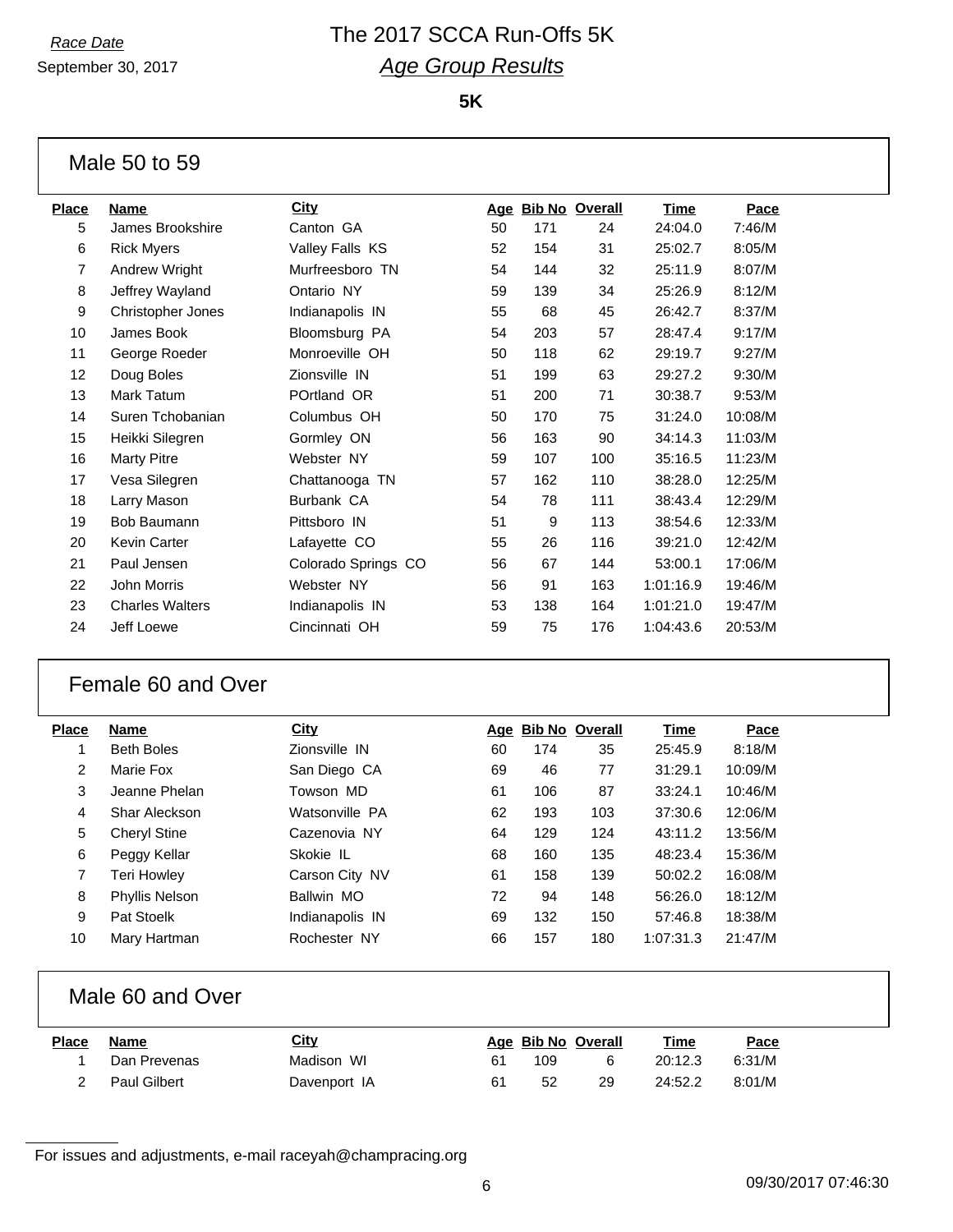# *Race Date* The 2017 SCCA Run-Offs 5K *Age Group Results*

**5K**

#### Male 50 to 59

| <b>Place</b> | <b>Name</b>            | <b>City</b>         | <u>Age</u> |     | <b>Bib No Overall</b> | <b>Time</b> | Pace    |
|--------------|------------------------|---------------------|------------|-----|-----------------------|-------------|---------|
| 5            | James Brookshire       | Canton GA           | 50         | 171 | 24                    | 24:04.0     | 7:46/M  |
| 6            | <b>Rick Myers</b>      | Valley Falls KS     | 52         | 154 | 31                    | 25:02.7     | 8:05/M  |
| 7            | Andrew Wright          | Murfreesboro TN     | 54         | 144 | 32                    | 25:11.9     | 8:07/M  |
| 8            | Jeffrey Wayland        | Ontario NY          | 59         | 139 | 34                    | 25:26.9     | 8:12/M  |
| 9            | Christopher Jones      | Indianapolis IN     | 55         | 68  | 45                    | 26:42.7     | 8:37/M  |
| 10           | James Book             | Bloomsburg PA       | 54         | 203 | 57                    | 28:47.4     | 9:17/M  |
| 11           | George Roeder          | Monroeville OH      | 50         | 118 | 62                    | 29:19.7     | 9:27/M  |
| 12           | Doug Boles             | Zionsville IN       | 51         | 199 | 63                    | 29:27.2     | 9:30/M  |
| 13           | Mark Tatum             | POrtland OR         | 51         | 200 | 71                    | 30:38.7     | 9:53/M  |
| 14           | Suren Tchobanian       | Columbus OH         | 50         | 170 | 75                    | 31:24.0     | 10:08/M |
| 15           | Heikki Silegren        | Gormley ON          | 56         | 163 | 90                    | 34:14.3     | 11:03/M |
| 16           | <b>Marty Pitre</b>     | Webster NY          | 59         | 107 | 100                   | 35:16.5     | 11:23/M |
| 17           | Vesa Silegren          | Chattanooga TN      | 57         | 162 | 110                   | 38:28.0     | 12:25/M |
| 18           | Larry Mason            | Burbank CA          | 54         | 78  | 111                   | 38:43.4     | 12:29/M |
| 19           | Bob Baumann            | Pittsboro IN        | 51         | 9   | 113                   | 38:54.6     | 12:33/M |
| 20           | Kevin Carter           | Lafayette CO        | 55         | 26  | 116                   | 39:21.0     | 12:42/M |
| 21           | Paul Jensen            | Colorado Springs CO | 56         | 67  | 144                   | 53:00.1     | 17:06/M |
| 22           | John Morris            | Webster NY          | 56         | 91  | 163                   | 1:01:16.9   | 19:46/M |
| 23           | <b>Charles Walters</b> | Indianapolis IN     | 53         | 138 | 164                   | 1:01:21.0   | 19:47/M |
| 24           | Jeff Loewe             | Cincinnati OH       | 59         | 75  | 176                   | 1:04:43.6   | 20:53/M |
|              |                        |                     |            |     |                       |             |         |

### Female 60 and Over

| Place | Name                  | City            | Age |     | <b>Bib No Overall</b> | Time      | Pace    |
|-------|-----------------------|-----------------|-----|-----|-----------------------|-----------|---------|
|       | <b>Beth Boles</b>     | Zionsville IN   | 60  | 174 | 35                    | 25:45.9   | 8:18/M  |
| 2     | Marie Fox             | San Diego CA    | 69  | 46  | 77                    | 31:29.1   | 10:09/M |
| 3     | Jeanne Phelan         | Towson MD       | 61  | 106 | 87                    | 33:24.1   | 10:46/M |
| 4     | Shar Aleckson         | Watsonville PA  | 62  | 193 | 103                   | 37:30.6   | 12:06/M |
| 5     | <b>Cheryl Stine</b>   | Cazenovia NY    | 64  | 129 | 124                   | 43:11.2   | 13:56/M |
| 6     | Peggy Kellar          | Skokie IL       | 68  | 160 | 135                   | 48:23.4   | 15:36/M |
| 7     | Teri Howley           | Carson City NV  | 61  | 158 | 139                   | 50:02.2   | 16:08/M |
| 8     | <b>Phyllis Nelson</b> | Ballwin MO      | 72  | 94  | 148                   | 56:26.0   | 18:12/M |
| 9     | Pat Stoelk            | Indianapolis IN | 69  | 132 | 150                   | 57:46.8   | 18:38/M |
| 10    | Mary Hartman          | Rochester NY    | 66  | 157 | 180                   | 1:07:31.3 | 21:47/M |
|       |                       |                 |     |     |                       |           |         |

## Male 60 and Over

| Place | Name         | <u>City</u>  |    | Age Bib No Overall |    | <u>Time</u> | Pace   |
|-------|--------------|--------------|----|--------------------|----|-------------|--------|
|       | Dan Prevenas | Madison WI   | 61 | 109                |    | 20:12.3     | 6:31/M |
|       | Paul Gilbert | Davenport IA | 61 | 52                 | 29 | 24:52.2     | 8:01/M |